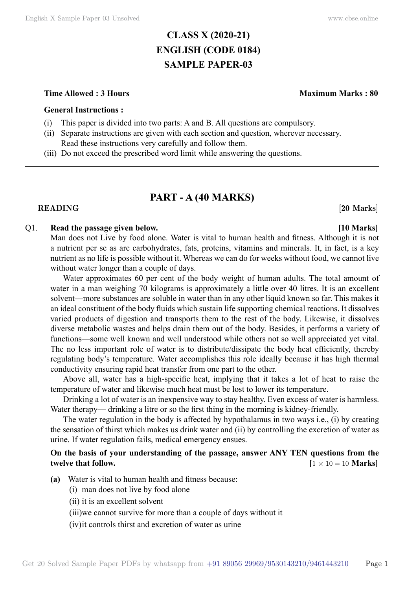# **CLASS X (2020-21) ENGLISH (CODE 0184) SAMPLE PAPER-03**

#### **Time Allowed : 3 Hours Maximum Marks : 80**

#### **General Instructions :**

- (i) This paper is divided into two parts: A and B. All questions are compulsory.
- (ii) Separate instructions are given with each section and question, wherever necessary. Read these instructions very carefully and follow them.
- (iii) Do not exceed the prescribed word limit while answering the questions.

## **PART - A (40 Marks)**

#### **READING** [20 Marks]

### Q1. **Read the passage given below. [10 Marks]**

Man does not Live by food alone. Water is vital to human health and fitness. Although it is not a nutrient per se as are carbohydrates, fats, proteins, vitamins and minerals. It, in fact, is a key nutrient as no life is possible without it. Whereas we can do for weeks without food, we cannot live without water longer than a couple of days.

Water approximates 60 per cent of the body weight of human adults. The total amount of water in a man weighing 70 kilograms is approximately a little over 40 litres. It is an excellent solvent—more substances are soluble in water than in any other liquid known so far. This makes it an ideal constituent of the body fluids which sustain life supporting chemical reactions. It dissolves varied products of digestion and transports them to the rest of the body. Likewise, it dissolves diverse metabolic wastes and helps drain them out of the body. Besides, it performs a variety of functions—some well known and well understood while others not so well appreciated yet vital. The no less important role of water is to distribute/dissipate the body heat efficiently, thereby regulating body's temperature. Water accomplishes this role ideally because it has high thermal conductivity ensuring rapid heat transfer from one part to the other.

Above all, water has a high-specific heat, implying that it takes a lot of heat to raise the temperature of water and likewise much heat must be lost to lower its temperature.

Drinking a lot of water is an inexpensive way to stay healthy. Even excess of water is harmless. Water therapy— drinking a litre or so the first thing in the morning is kidney-friendly.

The water regulation in the body is affected by hypothalamus in two ways i.e., (i) by creating the sensation of thirst which makes us drink water and (ii) by controlling the excretion of water as urine. If water regulation fails, medical emergency ensues.

## **On the basis of your understanding of the passage, answer ANY TEN questions from the twelve that follow.**  $[1 \times 10 = 10 \text{ Marks}]$

- **(a)** Water is vital to human health and fitness because:
	- (i) man does not live by food alone
	- (ii) it is an excellent solvent
	- (iii)we cannot survive for more than a couple of days without it
	- (iv)it controls thirst and excretion of water as urine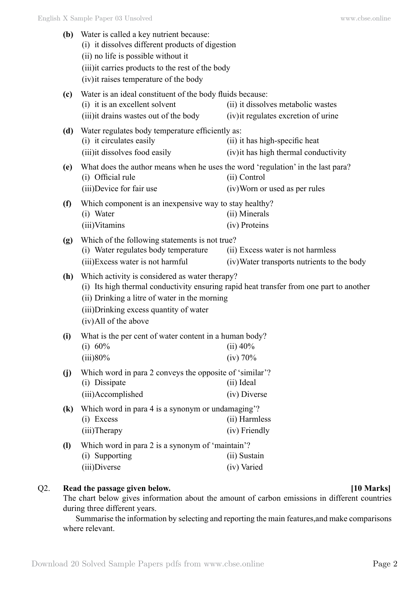| (b)                         | Water is called a key nutrient because:<br>(i) it dissolves different products of digestion<br>(ii) no life is possible without it<br>(iii) it carries products to the rest of the body<br>(iv) it raises temperature of the body |                                                                                         |  |  |
|-----------------------------|-----------------------------------------------------------------------------------------------------------------------------------------------------------------------------------------------------------------------------------|-----------------------------------------------------------------------------------------|--|--|
| (c)                         | Water is an ideal constituent of the body fluids because:<br>(i) it is an excellent solvent<br>(ii) it dissolves metabolic wastes<br>(iii) it drains wastes out of the body<br>(iv) it regulates excretion of urine               |                                                                                         |  |  |
| (d)                         | Water regulates body temperature efficiently as:<br>(i) it circulates easily<br>(iii) it dissolves food easily                                                                                                                    | (ii) it has high-specific heat<br>(iv) it has high thermal conductivity                 |  |  |
| (e)                         | What does the author means when he uses the word 'regulation' in the last para?<br>(i) Official rule<br>(iii)Device for fair use                                                                                                  | (ii) Control<br>(iv) Worn or used as per rules                                          |  |  |
| (f)                         | Which component is an inexpensive way to stay healthy?<br>(i) Water<br>(ii) Minerals<br>(iii)Vitamins<br>(iv) Proteins                                                                                                            |                                                                                         |  |  |
| (g)                         | Which of the following statements is not true?<br>(i) Water regulates body temperature<br>(iii) Excess water is not harmful                                                                                                       | (ii) Excess water is not harmless<br>(iv) Water transports nutrients to the body        |  |  |
| (h)                         | Which activity is considered as water therapy?<br>(ii) Drinking a litre of water in the morning<br>(iii) Drinking excess quantity of water<br>(iv) All of the above                                                               | (i) Its high thermal conductivity ensuring rapid heat transfer from one part to another |  |  |
| (i)                         | What is the per cent of water content in a human body?<br>(i) 60%<br>(iii)80%                                                                                                                                                     | $(ii)$ 40%<br>(iv) 70%                                                                  |  |  |
| (j)                         | Which word in para 2 conveys the opposite of 'similar'?<br>(i) Dissipate<br>(iii)Accomplished                                                                                                                                     | (ii) Ideal<br>(iv) Diverse                                                              |  |  |
| $\left( \mathbf{k}\right)$  | Which word in para 4 is a synonym or undamaging?<br>(i) Excess<br>(iii)Therapy                                                                                                                                                    | (ii) Harmless<br>(iv) Friendly                                                          |  |  |
| $\left( \mathbf{l} \right)$ | Which word in para 2 is a synonym of 'maintain'?<br>(i) Supporting<br>(iii)Diverse                                                                                                                                                | (ii) Sustain<br>(iv) Varied                                                             |  |  |

## Q2. **Read the passage given below. [10 Marks]**

The chart below gives information about the amount of carbon emissions in different countries during three different years.

Summarise the information by selecting and reporting the main features,and make comparisons where relevant.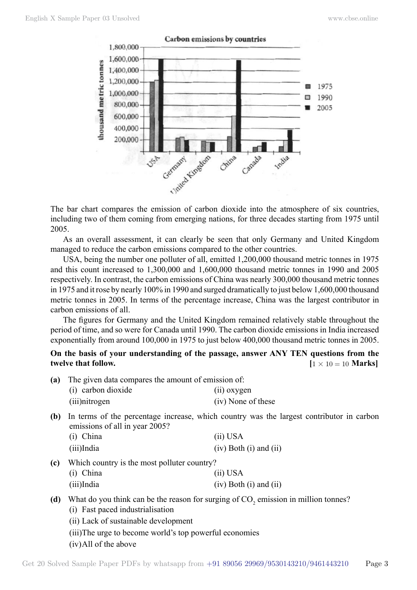

The bar chart compares the emission of carbon dioxide into the atmosphere of six countries, including two of them coming from emerging nations, for three decades starting from 1975 until 2005.

As an overall assessment, it can clearly be seen that only Germany and United Kingdom managed to reduce the carbon emissions compared to the other countries.

USA, being the number one polluter of all, emitted 1,200,000 thousand metric tonnes in 1975 and this count increased to 1,300,000 and 1,600,000 thousand metric tonnes in 1990 and 2005 respectively. In contrast, the carbon emissions of China was nearly 300,000 thousand metric tonnes in 1975 and it rose by nearly 100% in 1990 and surged dramatically to just below 1,600,000 thousand metric tonnes in 2005. In terms of the percentage increase, China was the largest contributor in carbon emissions of all.

The figures for Germany and the United Kingdom remained relatively stable throughout the period of time, and so were for Canada until 1990. The carbon dioxide emissions in India increased exponentially from around 100,000 in 1975 to just below 400,000 thousand metric tonnes in 2005.

### **On the basis of your understanding of the passage, answer ANY TEN questions from the twelve that follow.**  $[1 \times 10 = 10 \text{ Marks}]$

| (a) | The given data compares the amount of emission of: |                    |  |  |  |
|-----|----------------------------------------------------|--------------------|--|--|--|
|     | (i) carbon dioxide                                 | (ii) oxygen        |  |  |  |
|     | (iii) nitrogen                                     | (iv) None of these |  |  |  |

**(b)** In terms of the percentage increase, which country was the largest contributor in carbon emissions of all in year 2005?

| (i) China  | (ii) USA                     |
|------------|------------------------------|
| (iii)India | $(iv)$ Both $(i)$ and $(ii)$ |

**(c)** Which country is the most polluter country?

| (i) China  | (ii) USA                     |
|------------|------------------------------|
| (iii)India | $(iv)$ Both $(i)$ and $(ii)$ |

## (d) What do you think can be the reason for surging of  $CO_2$  emission in million tonnes?

- (i) Fast paced industrialisation
- (ii) Lack of sustainable development
- (iii)The urge to become world's top powerful economies
- (iv)All of the above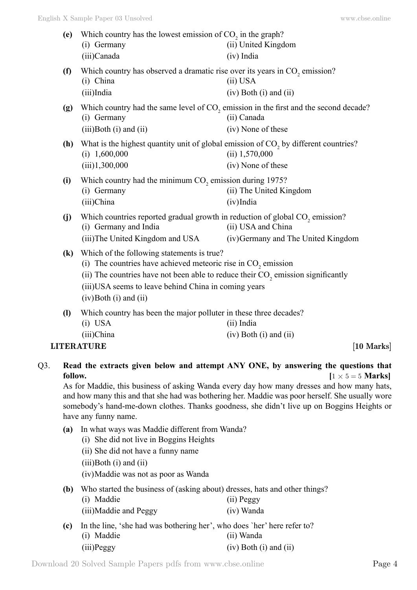| (e)                        | Which country has the lowest emission of $CO2$ in the graph?<br>(i) Germany<br>(ii) United Kingdom<br>(iii)Canada<br>$(iv)$ India                                                                                                                                                             |                                                                                                                                       |  |  |
|----------------------------|-----------------------------------------------------------------------------------------------------------------------------------------------------------------------------------------------------------------------------------------------------------------------------------------------|---------------------------------------------------------------------------------------------------------------------------------------|--|--|
| (f)                        | Which country has observed a dramatic rise over its years in CO <sub>2</sub> emission?<br>(i) China<br>(iii)India                                                                                                                                                                             | (ii) USA<br>$(iv)$ Both $(i)$ and $(ii)$                                                                                              |  |  |
| (g)                        | (i) Germany<br>$(iii)$ Both $(i)$ and $(ii)$                                                                                                                                                                                                                                                  | Which country had the same level of CO <sub>2</sub> emission in the first and the second decade?<br>(ii) Canada<br>(iv) None of these |  |  |
| (h)                        | What is the highest quantity unit of global emission of CO <sub>2</sub> by different countries?<br>$(i)$ 1,600,000<br>(iii)1,300,000                                                                                                                                                          | $(ii)$ 1,570,000<br>(iv) None of these                                                                                                |  |  |
| (i)                        | Which country had the minimum CO <sub>2</sub> emission during 1975?<br>(i) Germany<br>(iii)China                                                                                                                                                                                              | (ii) The United Kingdom<br>$(iv)$ India                                                                                               |  |  |
| (j)                        | Which countries reported gradual growth in reduction of global CO <sub>2</sub> emission?<br>(i) Germany and India<br>(iii) The United Kingdom and USA                                                                                                                                         | (ii) USA and China<br>(iv) Germany and The United Kingdom                                                                             |  |  |
| $\left( \mathbf{k}\right)$ | Which of the following statements is true?<br>(i) The countries have achieved meteoric rise in $CO2$ emission<br>(ii) The countries have not been able to reduce their $CO$ , emission significantly<br>(iii) USA seems to leave behind China in coming years<br>$(iv)$ Both $(i)$ and $(ii)$ |                                                                                                                                       |  |  |
| $\mathbf{I}$               | Which country has been the major polluter in these three decades?<br>$(i)$ USA<br>(iii)China                                                                                                                                                                                                  | (ii) India<br>$(iv)$ Both $(i)$ and $(ii)$                                                                                            |  |  |
|                            | <b>LITERATURE</b>                                                                                                                                                                                                                                                                             | $[10$ Marks $]$                                                                                                                       |  |  |
|                            |                                                                                                                                                                                                                                                                                               |                                                                                                                                       |  |  |

## Q3. **Read the extracts given below and attempt ANY ONE, by answering the questions that follow.**  $[1 \times 5 = 5 \text{ Marks}]$

As for Maddie, this business of asking Wanda every day how many dresses and how many hats, and how many this and that she had was bothering her. Maddie was poor herself. She usually wore somebody's hand-me-down clothes. Thanks goodness, she didn't live up on Boggins Heights or have any funny name.

- **(a)** In what ways was Maddie different from Wanda?
	- (i) She did not live in Boggins Heights
	- (ii) She did not have a funny name
	- (iii)Both (i) and (ii)

(iv)Maddie was not as poor as Wanda

**(b)** Who started the business of (asking about) dresses, hats and other things? (i) Maddie  $(i)$  Maddie (ii)  $p_{\text{a}\alpha\alpha\beta}$ 

| $(1)$ <i>viauul</i>   | $(11)$ $1 \text{ } 1$ |
|-----------------------|-----------------------|
| (iii)Maddie and Peggy | (iv) Wanda            |

**(c)** In the line, 'she had was bothering her', who does `her' here refer to? (i) Maddie (ii) Wanda (iii)Peggy (iv) Both (i) and (ii)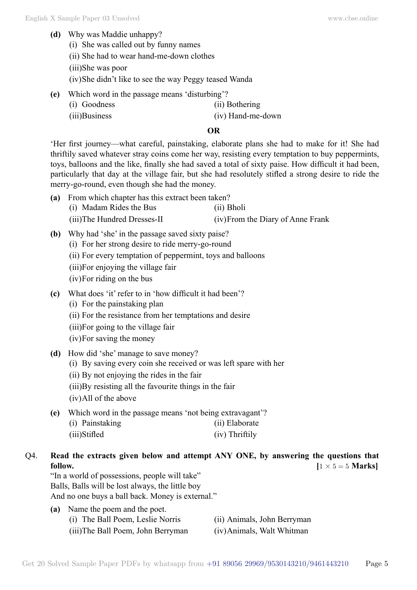- **(d)** Why was Maddie unhappy?
	- (i) She was called out by funny names
	- (ii) She had to wear hand-me-down clothes
	- (iii)She was poor
	- (iv)She didn't like to see the way Peggy teased Wanda
- **(e)** Which word in the passage means 'disturbing'?
	- (i) Goodness (ii) Bothering
- - (iii)Business (iv) Hand-me-down

### **O**

'Her first journey—what careful, painstaking, elaborate plans she had to make for it! She had thriftily saved whatever stray coins come her way, resisting every temptation to buy peppermints, toys, balloons and the like, finally she had saved a total of sixty paise. How difficult it had been, particularly that day at the village fair, but she had resolutely stifled a strong desire to ride the merry-go-round, even though she had the money.

- **(a)** From which chapter has this extract been taken?
	- (i) Madam Rides the Bus (ii) Bholi
	- (iii)The Hundred Dresses-II (iv)From the Diary of Anne Frank
- **(b)** Why had 'she' in the passage saved sixty paise?
	- (i) For her strong desire to ride merry-go-round
	- (ii) For every temptation of peppermint, toys and balloons
	- (iii)For enjoying the village fair
	- (iv)For riding on the bus
- **(c)** What does 'it' refer to in 'how difficult it had been'?
	- (i) For the painstaking plan
	- (ii) For the resistance from her temptations and desire
	- (iii)For going to the village fair
	- (iv)For saving the money
- **(d)** How did 'she' manage to save money?
	- (i) By saving every coin she received or was left spare with her
	- (ii) By not enjoying the rides in the fair
	- (iii)By resisting all the favourite things in the fair
	- (iv)All of the above
- **(e)** Which word in the passage means 'not being extravagant'?

| (i) Painstaking | (ii) Elaborate |
|-----------------|----------------|
| (iii)Stifled    | (iv) Thriftily |

- Q4. **Read the extracts given below and attempt ANY ONE, by answering the questions that follow.**  $[1 \times 5 = 5 \text{ Marks}]$ 
	- "In a world of possessions, people will take" Balls, Balls will be lost always, the little boy And no one buys a ball back. Money is external."
	- **(a)** Name the poem and the poet.
		- (i) The Ball Poem, Leslie Norris (ii) Animals, John Berryman
			-
		- (iii)The Ball Poem, John Berryman (iv)Animals, Walt Whitman
- 
-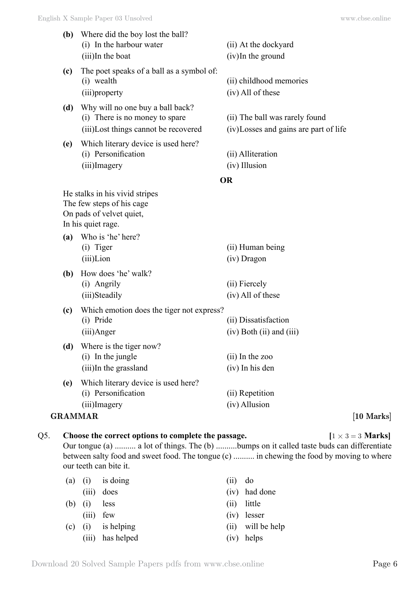| (b) | Where did the boy lost the ball?<br>(i) In the harbour water<br>(iii)In the boat                                                                             | (ii) At the dockyard<br>$(iv)$ In the ground                            |            |
|-----|--------------------------------------------------------------------------------------------------------------------------------------------------------------|-------------------------------------------------------------------------|------------|
| (c) | The poet speaks of a ball as a symbol of:<br>(i) wealth<br>(iii) property                                                                                    | (ii) childhood memories<br>(iv) All of these                            |            |
| (d) | Why will no one buy a ball back?<br>(i) There is no money to spare<br>(iii)Lost things cannot be recovered                                                   | (ii) The ball was rarely found<br>(iv)Losses and gains are part of life |            |
| (e) | Which literary device is used here?<br>(i) Personification<br>(iii)Imagery                                                                                   | (ii) Alliteration<br>(iv) Illusion                                      |            |
|     |                                                                                                                                                              | <b>OR</b>                                                               |            |
| (a) | He stalks in his vivid stripes<br>The few steps of his cage<br>On pads of velvet quiet,<br>In his quiet rage.<br>Who is 'he' here?<br>(i) Tiger<br>(iii)Lion | (ii) Human being<br>(iv) Dragon                                         |            |
| (b) | How does 'he' walk?<br>(i) Angrily<br>(iii)Steadily                                                                                                          | (ii) Fiercely<br>(iv) All of these                                      |            |
| (c) | Which emotion does the tiger not express?<br>(i) Pride<br>(iii)Anger                                                                                         | (ii) Dissatisfaction<br>$(iv)$ Both $(ii)$ and $(iii)$                  |            |
| (d) | Where is the tiger now?<br>(i) In the jungle<br>(iii)In the grassland                                                                                        | $(ii)$ In the zoo<br>(iv) In his den                                    |            |
| (e) | Which literary device is used here?<br>(i) Personification<br>(iii)Imagery                                                                                   | (ii) Repetition<br>(iv) Allusion                                        |            |
|     | <b>GRAMMAR</b>                                                                                                                                               |                                                                         | [10 Marks] |
|     |                                                                                                                                                              |                                                                         |            |

Q5. **Choose the correct options to complete the passage.**  $[1 \times 3 = 3 \text{ Marks}]$ Our tongue (a) .......... a lot of things. The (b) ..........bumps on it called taste buds can differentiate between salty food and sweet food. The tongue (c) .......... in chewing the food by moving to where our teeth can bite it.

| (iii)     |                                                                                       | (iv) had done     |
|-----------|---------------------------------------------------------------------------------------|-------------------|
| $(b)$ (i) |                                                                                       | $(ii)$ little     |
| (iii)     |                                                                                       | $(iv)$ lesser     |
|           |                                                                                       | (ii) will be help |
|           |                                                                                       | $(iv)$ helps      |
|           | $(a)$ (i) is doing<br>does<br>less<br>few<br>$(c)$ (i) is helping<br>(iii) has helped | $(ii)$ do         |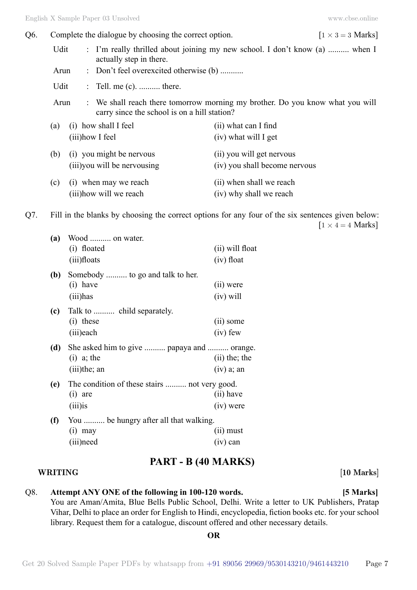| Q6. | Complete the dialogue by choosing the correct option. |  |  |                                                                                                                               | $[1 \times 3 = 3$ Marks]      |  |
|-----|-------------------------------------------------------|--|--|-------------------------------------------------------------------------------------------------------------------------------|-------------------------------|--|
|     | Udit                                                  |  |  | : I'm really thrilled about joining my new school. I don't know (a)  when I<br>actually step in there.                        |                               |  |
|     | Arun                                                  |  |  | : Don't feel overexcited otherwise (b)                                                                                        |                               |  |
|     | Udit                                                  |  |  | $\therefore$ Tell. me (c).  there.                                                                                            |                               |  |
|     | Arun                                                  |  |  | : We shall reach there tomorrow morning my brother. Do you know what you will<br>carry since the school is on a hill station? |                               |  |
|     | (a)                                                   |  |  | (i) how shall I feel                                                                                                          | (ii) what can I find          |  |
|     |                                                       |  |  | (iii) how I feel                                                                                                              | (iv) what will I get          |  |
|     | (b)                                                   |  |  | (i) you might be nervous                                                                                                      | (ii) you will get nervous     |  |
|     |                                                       |  |  | (iii) you will be nervousing                                                                                                  | (iv) you shall become nervous |  |
|     | (c)                                                   |  |  | (i) when may we reach                                                                                                         | (ii) when shall we reach      |  |
|     |                                                       |  |  | (iii) how will we reach                                                                                                       | (iv) why shall we reach       |  |

Q7. Fill in the blanks by choosing the correct options for any four of the six sentences given below:  $[1 \times 4 = 4$  Marks]

| (a) | Wood  on water.<br>(i) floated<br>(iii)floats                                 | (ii) will float<br>$(iv)$ float |
|-----|-------------------------------------------------------------------------------|---------------------------------|
| (b) | Somebody  to go and talk to her.<br>$(i)$ have<br>(iii)has                    | (ii) were<br>$(iv)$ will        |
| (c) | Talk to  child separately.<br>$(i)$ these<br>(iii)each                        | (ii) some<br>$(iv)$ few         |
| (d) | She asked him to give  papaya and  orange.<br>$(i)$ a; the<br>$(iii)$ the; an | $(ii)$ the; the<br>$(iv)$ a; an |
| (e) | The condition of these stairs  not very good.<br>$(i)$ are<br>$(iii)$ is      | (ii) have<br>$(iv)$ were        |
| (f) | You  be hungry after all that walking.<br>$(i)$ may<br>(iii) need             | $(ii)$ must<br>$(iv)$ can       |

## **PART - B (40 Marks)**

#### **WRITING [10 Marks]**

## Q8. **Attempt ANY ONE of the following in 100-120 words. [5 Marks]** You are Aman/Amita, Blue Bells Public School, Delhi. Write a letter to UK Publishers, Pratap Vihar, Delhi to place an order for English to Hindi, encyclopedia, fiction books etc. for your school library. Request them for a catalogue, discount offered and other necessary details.

 **O**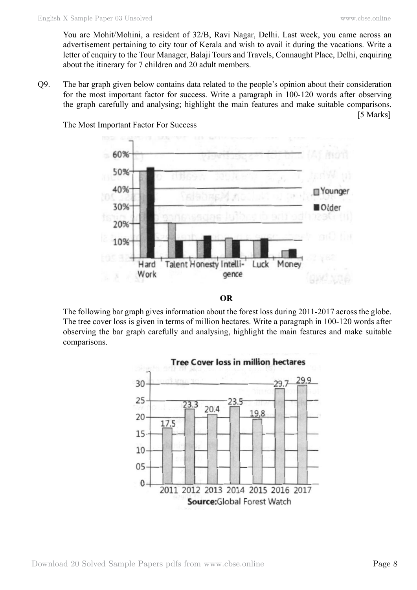[5 Marks]

You are Mohit/Mohini, a resident of 32/B, Ravi Nagar, Delhi. Last week, you came across an advertisement pertaining to city tour of Kerala and wish to avail it during the vacations. Write a letter of enquiry to the Tour Manager, Balaji Tours and Travels, Connaught Place, Delhi, enquiring about the itinerary for 7 children and 20 adult members.

Q9. The bar graph given below contains data related to the people's opinion about their consideration for the most important factor for success. Write a paragraph in 100-120 words after observing the graph carefully and analysing; highlight the main features and make suitable comparisons.



The Most Important Factor For Success



The following bar graph gives information about the forest loss during 2011-2017 across the globe. The tree cover loss is given in terms of million hectares. Write a paragraph in 100-120 words after observing the bar graph carefully and analysing, highlight the main features and make suitable comparisons.